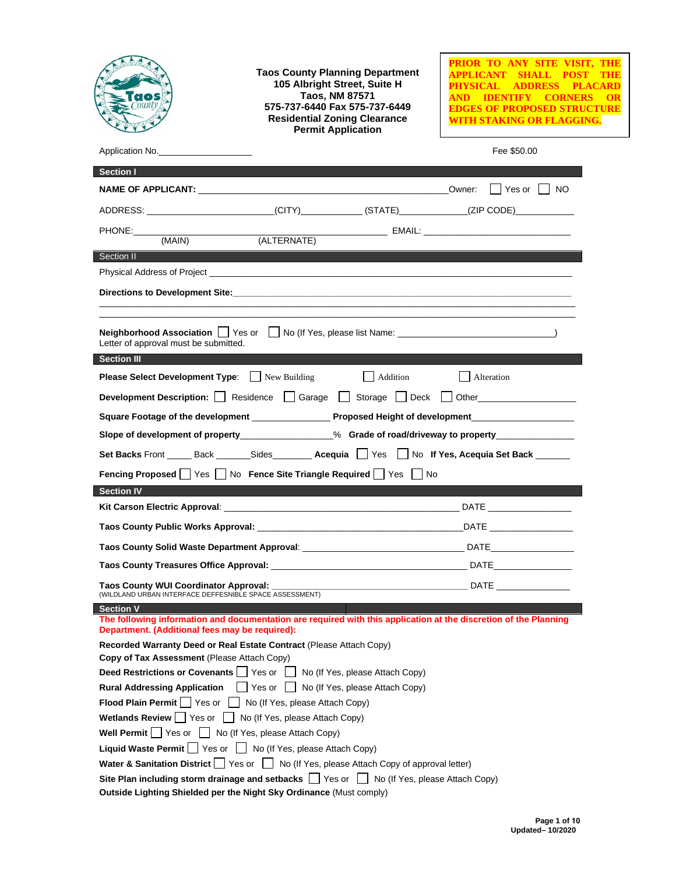|                                                                                                                                                                                        | <b>Taos County Planning Department</b><br>105 Albright Street, Suite H<br><b>Taos, NM 87571</b><br>575-737-6440 Fax 575-737-6449<br><b>Residential Zoning Clearance</b><br><b>Permit Application</b>                           | PRIOR TO ANY SITE VISIT, THE<br><b>SHALL POST</b><br>APPLICANT<br><b>ADDRESS</b><br>PHYSICAL -<br><b>PLACARD</b><br><b>IDENTIFY CORNERS</b><br>OR<br>EDGES OF PROPOSED STRUCTURE<br>WITH STAKING OR FLAGGING. |  |  |
|----------------------------------------------------------------------------------------------------------------------------------------------------------------------------------------|--------------------------------------------------------------------------------------------------------------------------------------------------------------------------------------------------------------------------------|---------------------------------------------------------------------------------------------------------------------------------------------------------------------------------------------------------------|--|--|
| Application No.                                                                                                                                                                        |                                                                                                                                                                                                                                | Fee \$50.00                                                                                                                                                                                                   |  |  |
| <b>Section I</b>                                                                                                                                                                       |                                                                                                                                                                                                                                |                                                                                                                                                                                                               |  |  |
|                                                                                                                                                                                        |                                                                                                                                                                                                                                |                                                                                                                                                                                                               |  |  |
|                                                                                                                                                                                        | ADDRESS: __________________________(CITY)_____________(STATE)______________(ZIP CODE)_____________                                                                                                                             |                                                                                                                                                                                                               |  |  |
| PHONE:                                                                                                                                                                                 |                                                                                                                                                                                                                                |                                                                                                                                                                                                               |  |  |
| (MAIN)                                                                                                                                                                                 |                                                                                                                                                                                                                                |                                                                                                                                                                                                               |  |  |
| Section II                                                                                                                                                                             |                                                                                                                                                                                                                                |                                                                                                                                                                                                               |  |  |
|                                                                                                                                                                                        | Physical Address of Project Learning and Contract and Contract and Contract and Contract and Contract and Contract and Contract and Contract and Contract and Contract and Contract and Contract and Contract and Contract and |                                                                                                                                                                                                               |  |  |
|                                                                                                                                                                                        |                                                                                                                                                                                                                                |                                                                                                                                                                                                               |  |  |
| Letter of approval must be submitted.<br><b>Section III</b>                                                                                                                            |                                                                                                                                                                                                                                |                                                                                                                                                                                                               |  |  |
| <b>Please Select Development Type:</b> New Building                                                                                                                                    | Addition                                                                                                                                                                                                                       | Alteration                                                                                                                                                                                                    |  |  |
|                                                                                                                                                                                        | Development Description: Residence Garage Storage Deck Other                                                                                                                                                                   |                                                                                                                                                                                                               |  |  |
|                                                                                                                                                                                        |                                                                                                                                                                                                                                |                                                                                                                                                                                                               |  |  |
|                                                                                                                                                                                        | Slope of development of property_______________% Grade of road/driveway to property______________                                                                                                                              |                                                                                                                                                                                                               |  |  |
|                                                                                                                                                                                        | Set Backs Front ______ Back ________Sides _________ Acequia ___  Yes ___  No If Yes, Acequia Set Back _______                                                                                                                  |                                                                                                                                                                                                               |  |  |
|                                                                                                                                                                                        |                                                                                                                                                                                                                                |                                                                                                                                                                                                               |  |  |
| <b>Section IV</b>                                                                                                                                                                      | Fencing Proposed   Yes   No Fence Site Triangle Required   Yes   No                                                                                                                                                            |                                                                                                                                                                                                               |  |  |
|                                                                                                                                                                                        |                                                                                                                                                                                                                                |                                                                                                                                                                                                               |  |  |
|                                                                                                                                                                                        |                                                                                                                                                                                                                                |                                                                                                                                                                                                               |  |  |
|                                                                                                                                                                                        |                                                                                                                                                                                                                                | DATE <b>DESIGNATE</b>                                                                                                                                                                                         |  |  |
|                                                                                                                                                                                        | Taos County Solid Waste Department Approval: ___________________________________                                                                                                                                               | _ DATE____________________                                                                                                                                                                                    |  |  |
|                                                                                                                                                                                        |                                                                                                                                                                                                                                |                                                                                                                                                                                                               |  |  |
| Taos County WUI Coordinator Approval:<br>(WILDLAND URBAN INTERFACE DEFFESNIBLE SPACE ASSESSMENT)                                                                                       | <u>DATE</u> DATE AND INTERNATIONAL CONTINUES.                                                                                                                                                                                  |                                                                                                                                                                                                               |  |  |
| <b>Section V</b><br>The following information and documentation are required with this application at the discretion of the Planning<br>Department. (Additional fees may be required): |                                                                                                                                                                                                                                |                                                                                                                                                                                                               |  |  |
| Recorded Warranty Deed or Real Estate Contract (Please Attach Copy)                                                                                                                    |                                                                                                                                                                                                                                |                                                                                                                                                                                                               |  |  |
| Copy of Tax Assessment (Please Attach Copy)                                                                                                                                            |                                                                                                                                                                                                                                |                                                                                                                                                                                                               |  |  |
| <b>Deed Restrictions or Covenants</b> $\Box$ Yes or $\Box$ No (If Yes, please Attach Copy)                                                                                             |                                                                                                                                                                                                                                |                                                                                                                                                                                                               |  |  |
| <b>Rural Addressing Application</b> Yes or No (If Yes, please Attach Copy)                                                                                                             |                                                                                                                                                                                                                                |                                                                                                                                                                                                               |  |  |
| Flood Plain Permit Yes or No (If Yes, please Attach Copy)                                                                                                                              |                                                                                                                                                                                                                                |                                                                                                                                                                                                               |  |  |
| <b>Wetlands Review</b> $\Box$ Yes or $\Box$ No (If Yes, please Attach Copy)<br><b>Well Permit</b> $\Box$ Yes or $\Box$ No (If Yes, please Attach Copy)                                 |                                                                                                                                                                                                                                |                                                                                                                                                                                                               |  |  |
| <b>Liquid Waste Permit</b> $\Box$ Yes or $\Box$ No (If Yes, please Attach Copy)                                                                                                        |                                                                                                                                                                                                                                |                                                                                                                                                                                                               |  |  |
| Water & Sanitation District Yes or No (If Yes, please Attach Copy of approval letter)                                                                                                  |                                                                                                                                                                                                                                |                                                                                                                                                                                                               |  |  |
| Site Plan including storm drainage and setbacks $\Box$ Yes or $\Box$ No (If Yes, please Attach Copy)                                                                                   |                                                                                                                                                                                                                                |                                                                                                                                                                                                               |  |  |
| Outside Lighting Shielded per the Night Sky Ordinance (Must comply)                                                                                                                    |                                                                                                                                                                                                                                |                                                                                                                                                                                                               |  |  |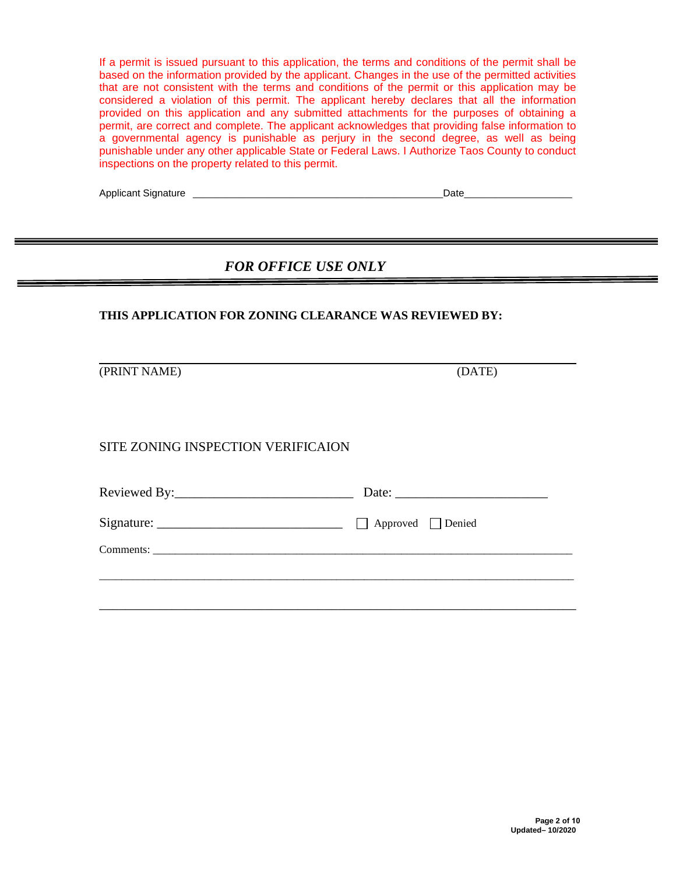If a permit is issued pursuant to this application, the terms and conditions of the permit shall be based on the information provided by the applicant. Changes in the use of the permitted activities that are not consistent with the terms and conditions of the permit or this application may be considered a violation of this permit. The applicant hereby declares that all the information provided on this application and any submitted attachments for the purposes of obtaining a permit, are correct and complete. The applicant acknowledges that providing false information to a governmental agency is punishable as perjury in the second degree, as well as being punishable under any other applicable State or Federal Laws. I Authorize Taos County to conduct inspections on the property related to this permit.

| <b>Applicant Signature</b> | )ate |
|----------------------------|------|
|----------------------------|------|

## *FOR OFFICE USE ONLY*

### **THIS APPLICATION FOR ZONING CLEARANCE WAS REVIEWED BY:**

(PRINT NAME) (DATE)

SITE ZONING INSPECTION VERIFICAION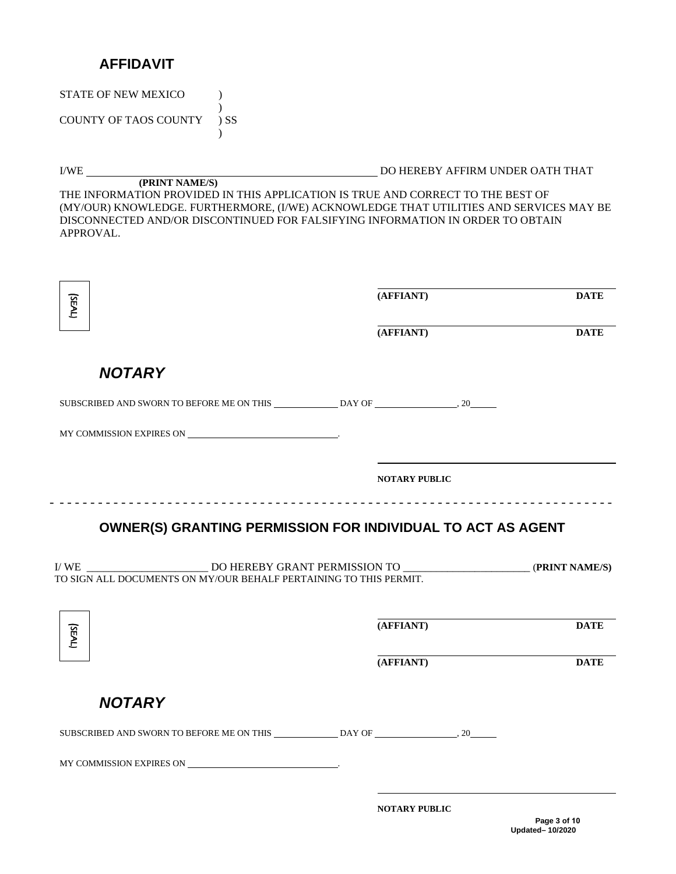# **AFFIDAVIT**

STATE OF NEW MEXICO  $\qquad$  ) )

COUNTY OF TAOS COUNTY ) SS  $\lambda$ 

I/WE DO HEREBY AFFIRM UNDER OATH THAT

**(PRINT NAME/S)** THE INFORMATION PROVIDED IN THIS APPLICATION IS TRUE AND CORRECT TO THE BEST OF (MY/OUR) KNOWLEDGE. FURTHERMORE, (I/WE) ACKNOWLEDGE THAT UTILITIES AND SERVICES MAY BE DISCONNECTED AND/OR DISCONTINUED FOR FALSIFYING INFORMATION IN ORDER TO OBTAIN APPROVAL.

| (SEAL)                                                            | (AFFIANT)            | <b>DATE</b> |
|-------------------------------------------------------------------|----------------------|-------------|
|                                                                   | (AFFIANT)            | <b>DATE</b> |
| <b>NOTARY</b>                                                     |                      |             |
|                                                                   |                      |             |
|                                                                   |                      |             |
|                                                                   | <b>NOTARY PUBLIC</b> |             |
| TO SIGN ALL DOCUMENTS ON MY/OUR BEHALF PERTAINING TO THIS PERMIT. |                      |             |
|                                                                   |                      |             |
| (SEAL)                                                            | (AFFIANT)            | <b>DATE</b> |
|                                                                   | (AFFIANT)            | <b>DATE</b> |
| <b>NOTARY</b>                                                     |                      |             |
|                                                                   |                      |             |
|                                                                   |                      |             |

**NOTARY PUBLIC**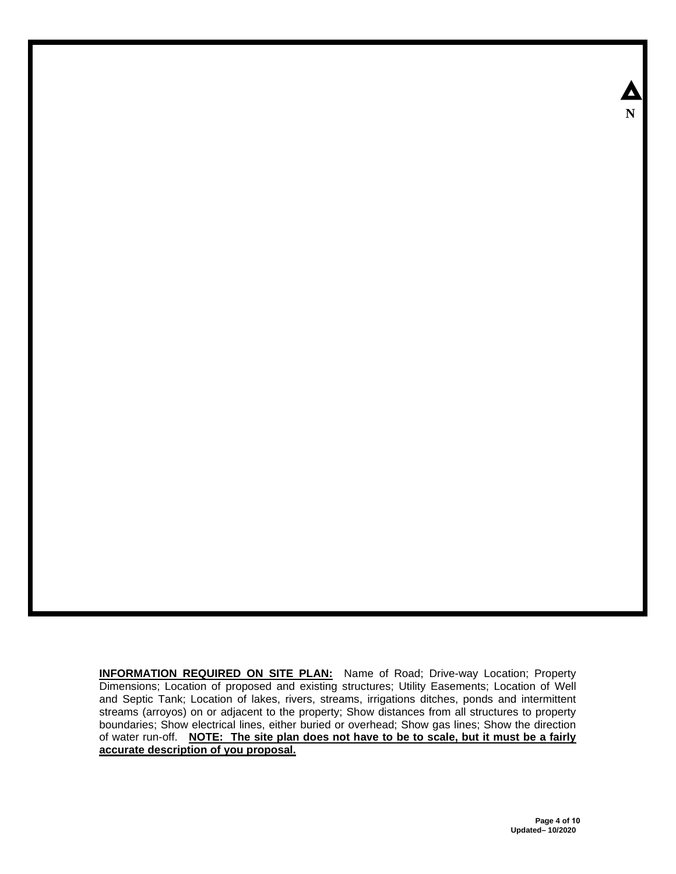**INFORMATION REQUIRED ON SITE PLAN:** Name of Road; Drive-way Location; Property Dimensions; Location of proposed and existing structures; Utility Easements; Location of Well and Septic Tank; Location of lakes, rivers, streams, irrigations ditches, ponds and intermittent streams (arroyos) on or adjacent to the property; Show distances from all structures to property boundaries; Show electrical lines, either buried or overhead; Show gas lines; Show the direction of water run-off. **NOTE: The site plan does not have to be to scale, but it must be a fairly accurate description of you proposal.**

Δ **N**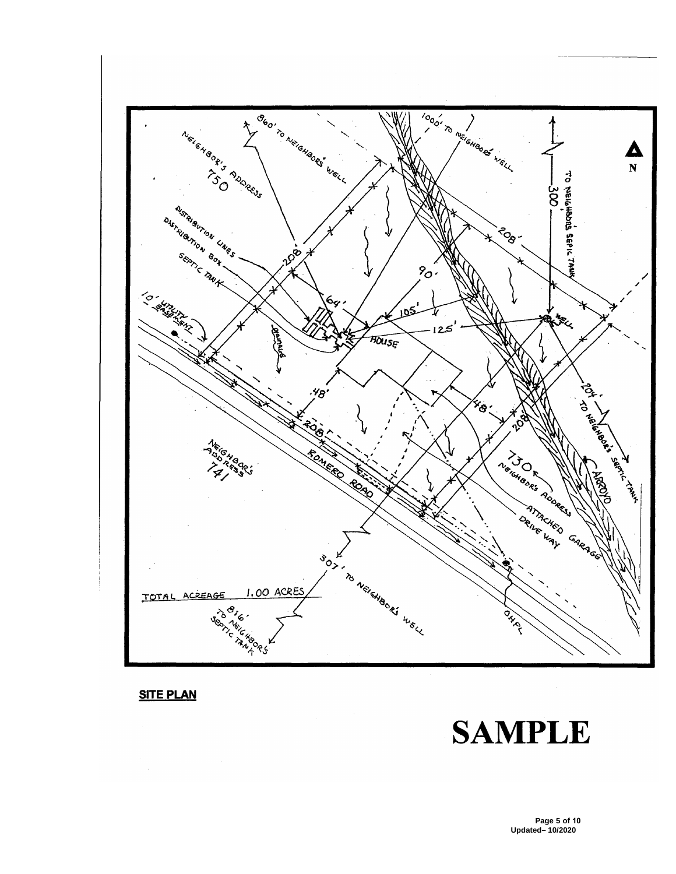

**SITE PLAN** 

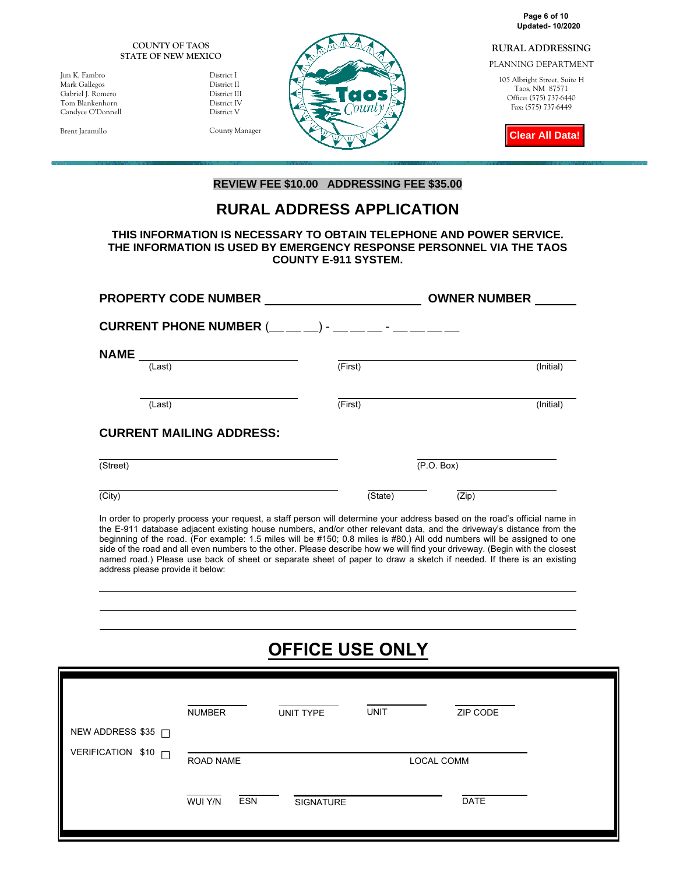**Updated- 10/2020 Page 6 of 10**

#### **RURAL ADDRESSING**

PLANNING DEPARTMENT

105 Albright Street, Suite H Taos, NM 87571 Office: (575) 737-6440 Fax: (575) 737-6449

**Clear All Data!**

**COUNTY OF TAOS STATE OF NEW MEXICO** 

Jim K. Fambro District I Mark Gallegos District II Gabriel J. Romero District III Tom Blankenhorn Candyce O'Donnell District V

Brent Jaramillo County Manager



### **REVIEW FEE \$10.00 ADDRESSING FEE \$35.00**

# **RURAL ADDRESS APPLICATION**

### **THIS INFORMATION IS NECESSARY TO OBTAIN TELEPHONE AND POWER SERVICE. THE INFORMATION IS USED BY EMERGENCY RESPONSE PERSONNEL VIA THE TAOS COUNTY E-911 SYSTEM.**

|             | <b>PROPERTY CODE NUMBER</b>     |                                                          | <b>OWNER NUMBER</b> |
|-------------|---------------------------------|----------------------------------------------------------|---------------------|
|             |                                 | CURRENT PHONE NUMBER (__ __ __) - __ __ __ - __ __ __ __ |                     |
| <b>NAME</b> | (Last)                          | (First)                                                  | (Initial)           |
|             | (Last)                          | (First)                                                  | (Initial)           |
|             | <b>CURRENT MAILING ADDRESS:</b> |                                                          |                     |
| (Street)    |                                 | (P.O. Box)                                               |                     |
| (City)      |                                 | (State)                                                  | (Zip)               |

In order to properly process your request, a staff person will determine your address based on the road's official name in the E-911 database adjacent existing house numbers, and/or other relevant data, and the driveway's distance from the beginning of the road. (For example: 1.5 miles will be #150; 0.8 miles is #80.) All odd numbers will be assigned to one side of the road and all even numbers to the other. Please describe how we will find your driveway. (Begin with the closest named road.) Please use back of sheet or separate sheet of paper to draw a sketch if needed. If there is an existing address please provide it below:

# **OFFICE USE ONLY**

| NEW ADDRESS \$35 ∩<br>VERIFICATION \$10<br>П<br><b>ROAD NAME</b><br>LOCAL COMM<br><b>ESN</b><br>DATE<br>WUI Y/N<br><b>SIGNATURE</b> | <b>NUMBER</b> | UNIT TYPE | <b>UNIT</b> | ZIP CODE |
|-------------------------------------------------------------------------------------------------------------------------------------|---------------|-----------|-------------|----------|
|                                                                                                                                     |               |           |             |          |
|                                                                                                                                     |               |           |             |          |
|                                                                                                                                     |               |           |             |          |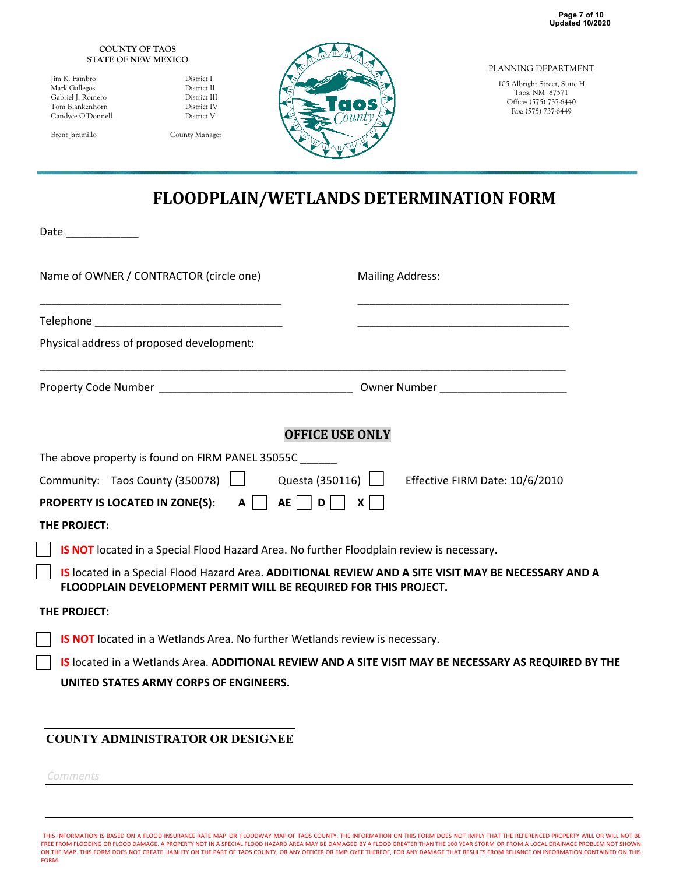#### **COUNTY OF TAOS STATE OF NEW MEXICO**

| Jim K. Fambro     |
|-------------------|
| Mark Gallegos     |
| Gabriel J. Romero |
| Tom Blankenhorn   |
| Candvce O'Donne   |

District I District II District III Tom Bistrict IV<br>The Bell Bistrict V District V

Brent Jaramillo County Manager



PLANNING DEPARTMENT

105 Albright Street, Suite H Taos, NM 87571 Office: (575) 737-6440 Fax: (575) 737-6449

# **FLOODPLAIN/WETLANDS DETERMINATION FORM**

Date \_\_\_\_\_\_\_\_\_\_\_\_

| Name of OWNER / CONTRACTOR (circle one)                                                                                                                                  |                         | <b>Mailing Address:</b>                                                                                              |
|--------------------------------------------------------------------------------------------------------------------------------------------------------------------------|-------------------------|----------------------------------------------------------------------------------------------------------------------|
|                                                                                                                                                                          |                         | <u> 1989 - Johann John Stein, markin fan it ferstjer fan it ferstjer fan it ferstjer fan it ferstjer fan it fers</u> |
| Physical address of proposed development:                                                                                                                                |                         |                                                                                                                      |
|                                                                                                                                                                          |                         |                                                                                                                      |
|                                                                                                                                                                          | <b>OFFICE USE ONLY</b>  |                                                                                                                      |
| The above property is found on FIRM PANEL 35055C ______                                                                                                                  |                         |                                                                                                                      |
| Community: Taos County (350078)                                                                                                                                          |                         | Questa (350116)   Effective FIRM Date: 10/6/2010                                                                     |
| <b>PROPERTY IS LOCATED IN ZONE(S): A  </b>                                                                                                                               | $AE$     $D$    <br>$X$ |                                                                                                                      |
| THE PROJECT:                                                                                                                                                             |                         |                                                                                                                      |
| IS NOT located in a Special Flood Hazard Area. No further Floodplain review is necessary.                                                                                |                         |                                                                                                                      |
| IS located in a Special Flood Hazard Area. ADDITIONAL REVIEW AND A SITE VISIT MAY BE NECESSARY AND A<br>FLOODPLAIN DEVELOPMENT PERMIT WILL BE REQUIRED FOR THIS PROJECT. |                         |                                                                                                                      |
| THE PROJECT:                                                                                                                                                             |                         |                                                                                                                      |
| IS NOT located in a Wetlands Area. No further Wetlands review is necessary.                                                                                              |                         |                                                                                                                      |
|                                                                                                                                                                          |                         | IS located in a Wetlands Area. ADDITIONAL REVIEW AND A SITE VISIT MAY BE NECESSARY AS REQUIRED BY THE                |
| UNITED STATES ARMY CORPS OF ENGINEERS.                                                                                                                                   |                         |                                                                                                                      |

## **COUNTY ADMINISTRATOR OR DESIGNEE**

*Comments*

l ſ

> THIS INFORMATION IS BASED ON A FLOOD INSURANCE RATE MAP OR FLOODWAY MAP OF TAOS COUNTY. THE INFORMATION ON THIS FORM DOES NOT IMPLY THAT THE REFERENCED PROPERTY WILL OR WILL NOT BE FREE FROM FLOODING OR FLOOD DAMAGE. A PROPERTY NOT IN A SPECIAL FLOOD HAZARD AREA MAY BE DAMAGED BY A FLOOD GREATER THAN THE 100 YEAR STORM OR FROM A LOCAL DRAINAGE PROBLEM NOT SHOWN<br>ON THE MAP. THIS FORM DOES NOT CREATE L FORM.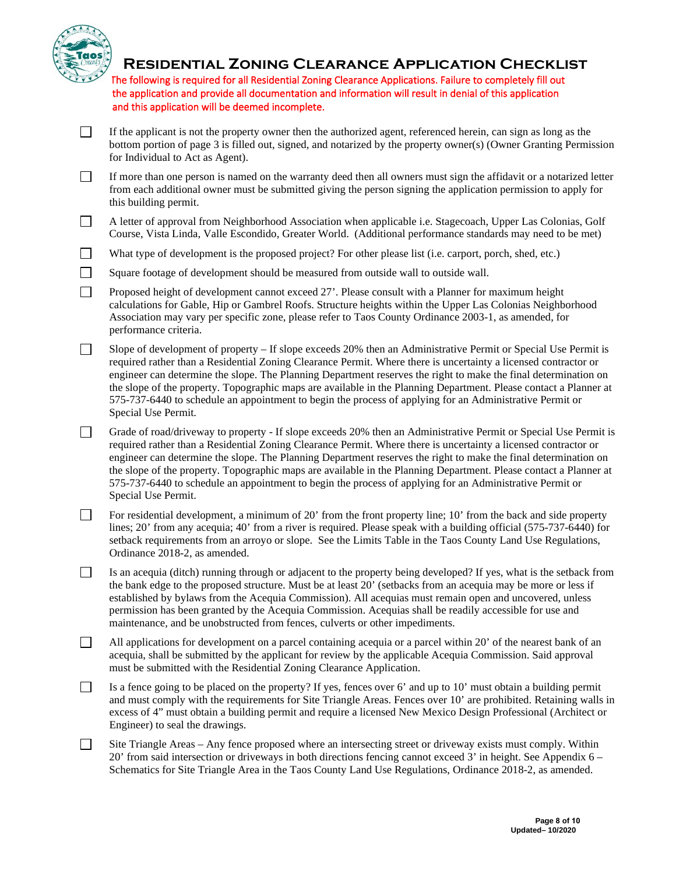

## **Residential Zoning Clearance Application Checklist**

The following is required for all Residential Zoning Clearance Applications. Failure to completely fill out the application and provide all documentation and information will result in denial of this application and this application will be deemed incomplete.

- $\Box$ If the applicant is not the property owner then the authorized agent, referenced herein, can sign as long as the bottom portion of page 3 is filled out, signed, and notarized by the property owner(s) (Owner Granting Permission for Individual to Act as Agent).
- $\Box$ If more than one person is named on the warranty deed then all owners must sign the affidavit or a notarized letter from each additional owner must be submitted giving the person signing the application permission to apply for this building permit.
- $\Box$ A letter of approval from Neighborhood Association when applicable i.e. Stagecoach, Upper Las Colonias, Golf Course, Vista Linda, Valle Escondido, Greater World. (Additional performance standards may need to be met)
- $\Box$ What type of development is the proposed project? For other please list (i.e. carport, porch, shed, etc.)
- $\Box$ Square footage of development should be measured from outside wall to outside wall.
- $\Box$ Proposed height of development cannot exceed 27'. Please consult with a Planner for maximum height calculations for Gable, Hip or Gambrel Roofs. Structure heights within the Upper Las Colonias Neighborhood Association may vary per specific zone, please refer to Taos County Ordinance 2003-1, as amended, for performance criteria.
- $\Box$ Slope of development of property – If slope exceeds 20% then an Administrative Permit or Special Use Permit is required rather than a Residential Zoning Clearance Permit. Where there is uncertainty a licensed contractor or engineer can determine the slope. The Planning Department reserves the right to make the final determination on the slope of the property. Topographic maps are available in the Planning Department. Please contact a Planner at 575-737-6440 to schedule an appointment to begin the process of applying for an Administrative Permit or Special Use Permit.
- $\Box$ Grade of road/driveway to property - If slope exceeds 20% then an Administrative Permit or Special Use Permit is required rather than a Residential Zoning Clearance Permit. Where there is uncertainty a licensed contractor or engineer can determine the slope. The Planning Department reserves the right to make the final determination on the slope of the property. Topographic maps are available in the Planning Department. Please contact a Planner at 575-737-6440 to schedule an appointment to begin the process of applying for an Administrative Permit or Special Use Permit.
- $\Box$ For residential development, a minimum of 20' from the front property line; 10' from the back and side property lines; 20' from any acequia; 40' from a river is required. Please speak with a building official (575-737-6440) for setback requirements from an arroyo or slope. See the Limits Table in the Taos County Land Use Regulations, Ordinance 2018-2, as amended.
- $\Box$ Is an acequia (ditch) running through or adjacent to the property being developed? If yes, what is the setback from the bank edge to the proposed structure. Must be at least 20' (setbacks from an acequia may be more or less if established by bylaws from the Acequia Commission). All acequias must remain open and uncovered, unless permission has been granted by the Acequia Commission. Acequias shall be readily accessible for use and maintenance, and be unobstructed from fences, culverts or other impediments.
- $\Box$ All applications for development on a parcel containing acequia or a parcel within 20' of the nearest bank of an acequia, shall be submitted by the applicant for review by the applicable Acequia Commission. Said approval must be submitted with the Residential Zoning Clearance Application.
- $\Box$ Is a fence going to be placed on the property? If yes, fences over 6' and up to 10' must obtain a building permit and must comply with the requirements for Site Triangle Areas. Fences over 10' are prohibited. Retaining walls in excess of 4" must obtain a building permit and require a licensed New Mexico Design Professional (Architect or Engineer) to seal the drawings.
- $\Box$ Site Triangle Areas – Any fence proposed where an intersecting street or driveway exists must comply. Within 20' from said intersection or driveways in both directions fencing cannot exceed 3' in height. See Appendix 6 – Schematics for Site Triangle Area in the Taos County Land Use Regulations, Ordinance 2018-2, as amended.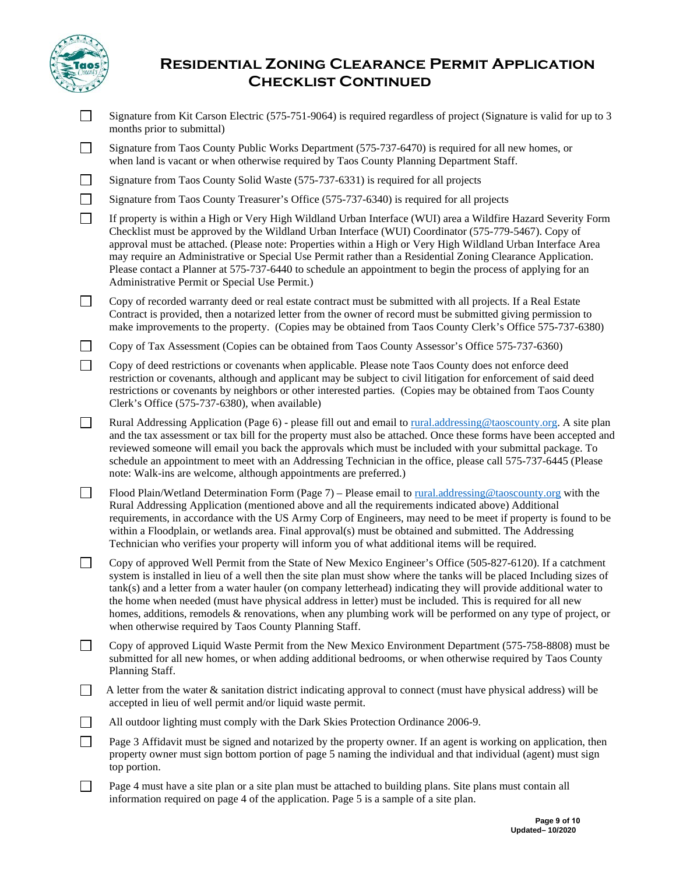

# **Residential Zoning Clearance Permit Application Checklist Continued**

- $\Box$ Signature from Kit Carson Electric (575-751-9064) is required regardless of project (Signature is valid for up to 3 months prior to submittal)
- Signature from Taos County Public Works Department (575-737-6470) is required for all new homes, or  $\perp$ when land is vacant or when otherwise required by Taos County Planning Department Staff.
- $\Box$ Signature from Taos County Solid Waste (575-737-6331) is required for all projects
- $\Box$ Signature from Taos County Treasurer's Office (575-737-6340) is required for all projects
- $\Box$ If property is within a High or Very High Wildland Urban Interface (WUI) area a Wildfire Hazard Severity Form Checklist must be approved by the Wildland Urban Interface (WUI) Coordinator (575-779-5467). Copy of approval must be attached. (Please note: Properties within a High or Very High Wildland Urban Interface Area may require an Administrative or Special Use Permit rather than a Residential Zoning Clearance Application. Please contact a Planner at 575-737-6440 to schedule an appointment to begin the process of applying for an Administrative Permit or Special Use Permit.)
- $\Box$ Copy of recorded warranty deed or real estate contract must be submitted with all projects. If a Real Estate Contract is provided, then a notarized letter from the owner of record must be submitted giving permission to make improvements to the property. (Copies may be obtained from Taos County Clerk's Office 575-737-6380)
- $\Box$ Copy of Tax Assessment (Copies can be obtained from Taos County Assessor's Office 575-737-6360)
- $\Box$ Copy of deed restrictions or covenants when applicable. Please note Taos County does not enforce deed restriction or covenants, although and applicant may be subject to civil litigation for enforcement of said deed restrictions or covenants by neighbors or other interested parties. (Copies may be obtained from Taos County Clerk's Office (575-737-6380), when available)
- $\Box$ Rural Addressing Application (Page 6) - please fill out and email to [rural.addressing@taoscounty.org.](mailto:rural.addressing@taoscounty.org) A site plan and the tax assessment or tax bill for the property must also be attached. Once these forms have been accepted and reviewed someone will email you back the approvals which must be included with your submittal package. To schedule an appointment to meet with an Addressing Technician in the office, please call 575-737-6445 (Please note: Walk-ins are welcome, although appointments are preferred.)
- $\Box$ Flood Plain/Wetland Determination Form (Page 7) – Please email t[o rural.addressing@taoscounty.org](mailto:rural.addressing@taoscounty.org) with the Rural Addressing Application (mentioned above and all the requirements indicated above) Additional requirements, in accordance with the US Army Corp of Engineers, may need to be meet if property is found to be within a Floodplain, or wetlands area. Final approval(s) must be obtained and submitted. The Addressing Technician who verifies your property will inform you of what additional items will be required.
- $\Box$ Copy of approved Well Permit from the State of New Mexico Engineer's Office (505-827-6120). If a catchment system is installed in lieu of a well then the site plan must show where the tanks will be placed Including sizes of tank(s) and a letter from a water hauler (on company letterhead) indicating they will provide additional water to the home when needed (must have physical address in letter) must be included. This is required for all new homes, additions, remodels & renovations, when any plumbing work will be performed on any type of project, or when otherwise required by Taos County Planning Staff.
- Copy of approved Liquid Waste Permit from the New Mexico Environment Department (575-758-8808) must be  $\Box$ submitted for all new homes, or when adding additional bedrooms, or when otherwise required by Taos County Planning Staff.
- $\Box$  A letter from the water & sanitation district indicating approval to connect (must have physical address) will be accepted in lieu of well permit and/or liquid waste permit.
- П. All outdoor lighting must comply with the Dark Skies Protection Ordinance 2006-9.
- $\Box$ Page 3 Affidavit must be signed and notarized by the property owner. If an agent is working on application, then property owner must sign bottom portion of page 5 naming the individual and that individual (agent) must sign top portion.
- $\Box$ Page 4 must have a site plan or a site plan must be attached to building plans. Site plans must contain all information required on page 4 of the application. Page 5 is a sample of a site plan.